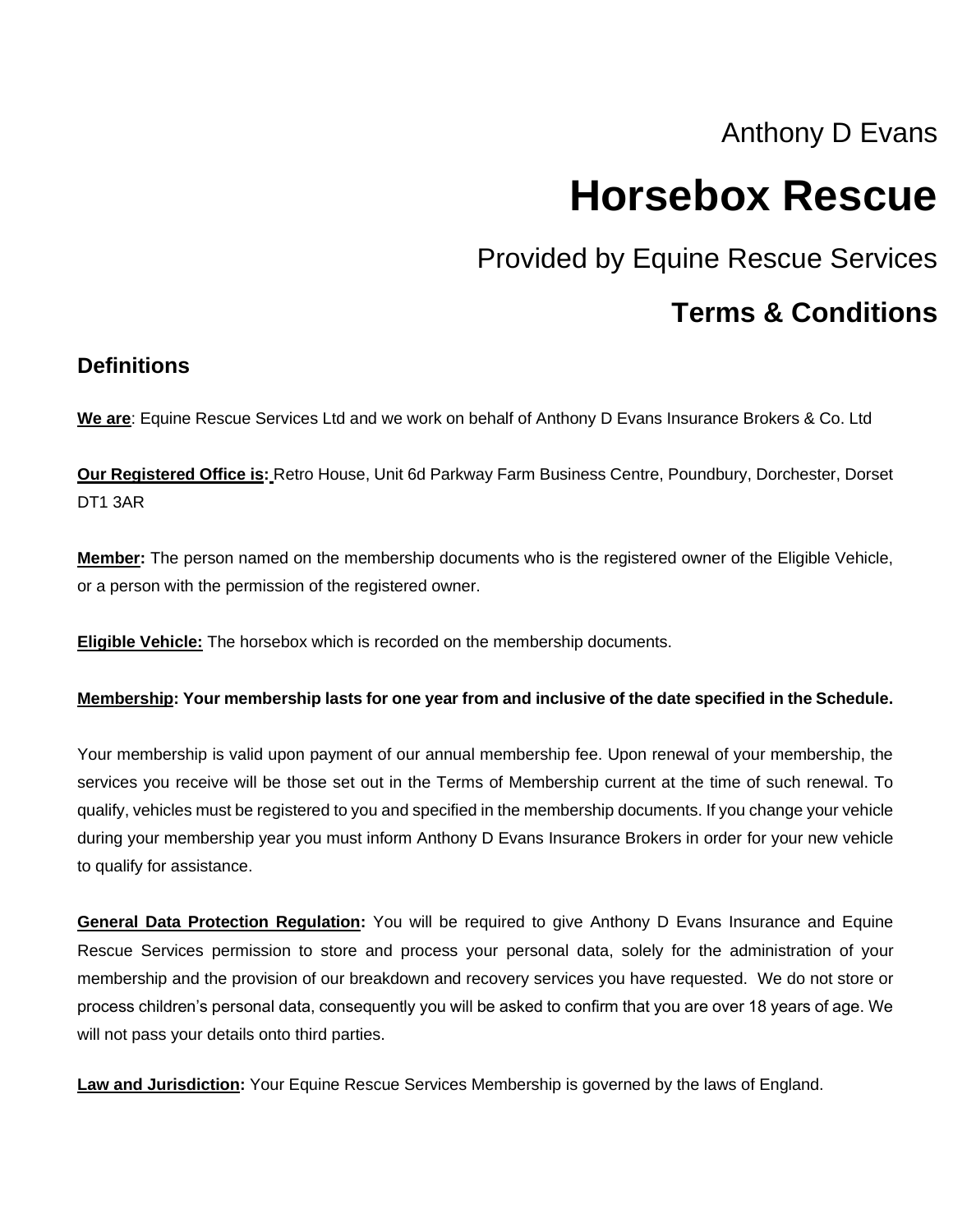# Anthony D Evans

# **Horsebox Rescue**

Provided by Equine Rescue Services

# **Terms & Conditions**

#### **Definitions**

**We are**: Equine Rescue Services Ltd and we work on behalf of Anthony D Evans Insurance Brokers & Co. Ltd

**Our Registered Office is:** Retro House, Unit 6d Parkway Farm Business Centre, Poundbury, Dorchester, Dorset DT1 3AR

**Member:** The person named on the membership documents who is the registered owner of the Eligible Vehicle, or a person with the permission of the registered owner.

**Eligible Vehicle:** The horsebox which is recorded on the membership documents.

#### **Membership: Your membership lasts for one year from and inclusive of the date specified in the Schedule.**

Your membership is valid upon payment of our annual membership fee. Upon renewal of your membership, the services you receive will be those set out in the Terms of Membership current at the time of such renewal. To qualify, vehicles must be registered to you and specified in the membership documents. If you change your vehicle during your membership year you must inform Anthony D Evans Insurance Brokers in order for your new vehicle to qualify for assistance.

**General Data Protection Regulation:** You will be required to give Anthony D Evans Insurance and Equine Rescue Services permission to store and process your personal data, solely for the administration of your membership and the provision of our breakdown and recovery services you have requested. We do not store or process children's personal data, consequently you will be asked to confirm that you are over 18 years of age. We will not pass your details onto third parties.

**Law and Jurisdiction:** Your Equine Rescue Services Membership is governed by the laws of England.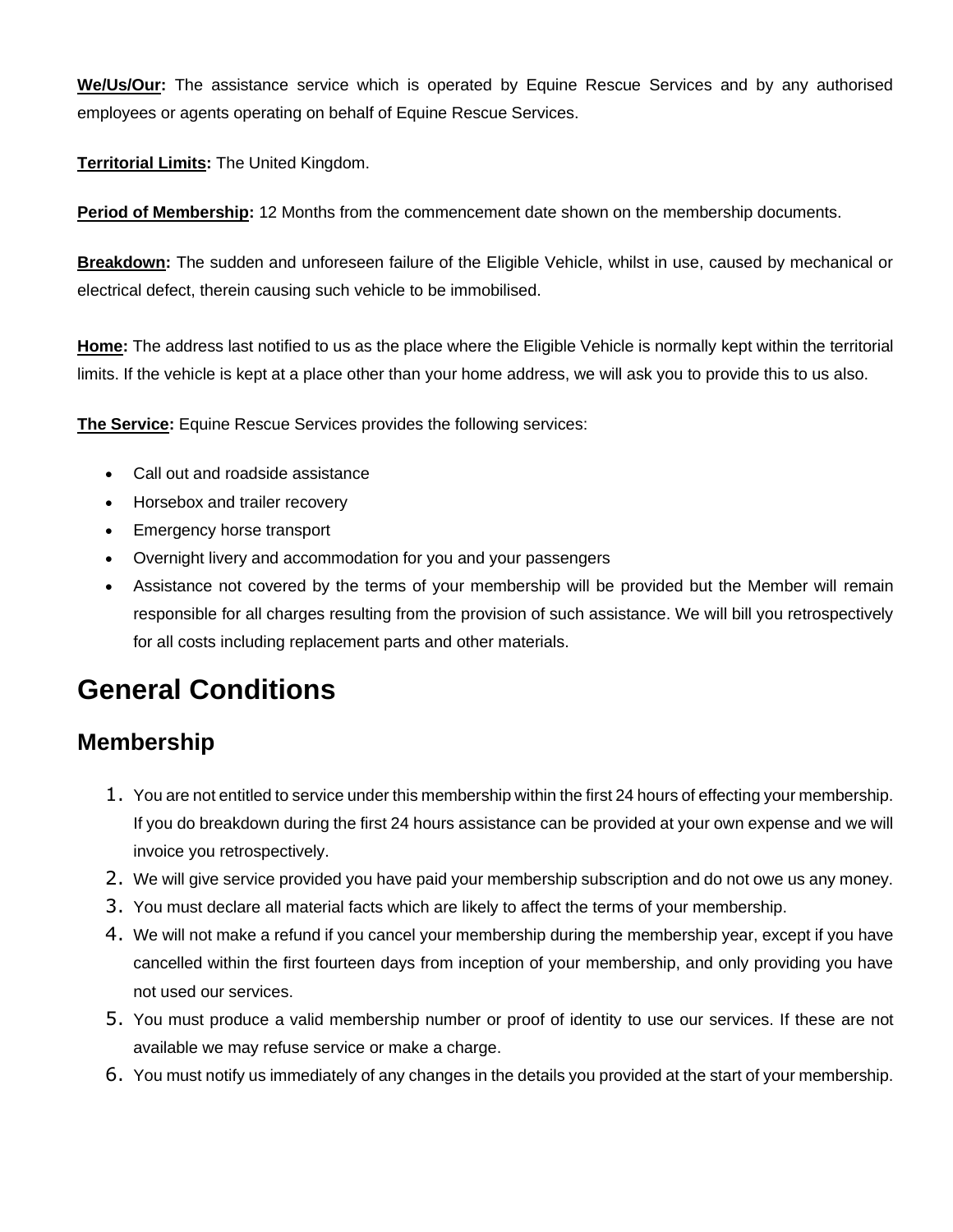**We/Us/Our:** The assistance service which is operated by Equine Rescue Services and by any authorised employees or agents operating on behalf of Equine Rescue Services.

**Territorial Limits:** The United Kingdom.

**Period of Membership:** 12 Months from the commencement date shown on the membership documents.

**Breakdown:** The sudden and unforeseen failure of the Eligible Vehicle, whilst in use, caused by mechanical or electrical defect, therein causing such vehicle to be immobilised.

**Home:** The address last notified to us as the place where the Eligible Vehicle is normally kept within the territorial limits. If the vehicle is kept at a place other than your home address, we will ask you to provide this to us also.

**The Service:** Equine Rescue Services provides the following services:

- Call out and roadside assistance
- Horsebox and trailer recovery
- Emergency horse transport
- Overnight livery and accommodation for you and your passengers
- Assistance not covered by the terms of your membership will be provided but the Member will remain responsible for all charges resulting from the provision of such assistance. We will bill you retrospectively for all costs including replacement parts and other materials.

# **General Conditions**

#### **Membership**

- 1. You are not entitled to service under this membership within the first 24 hours of effecting your membership. If you do breakdown during the first 24 hours assistance can be provided at your own expense and we will invoice you retrospectively.
- 2. We will give service provided you have paid your membership subscription and do not owe us any money.
- 3. You must declare all material facts which are likely to affect the terms of your membership.
- 4. We will not make a refund if you cancel your membership during the membership year, except if you have cancelled within the first fourteen days from inception of your membership, and only providing you have not used our services.
- 5. You must produce a valid membership number or proof of identity to use our services. If these are not available we may refuse service or make a charge.
- 6. You must notify us immediately of any changes in the details you provided at the start of your membership.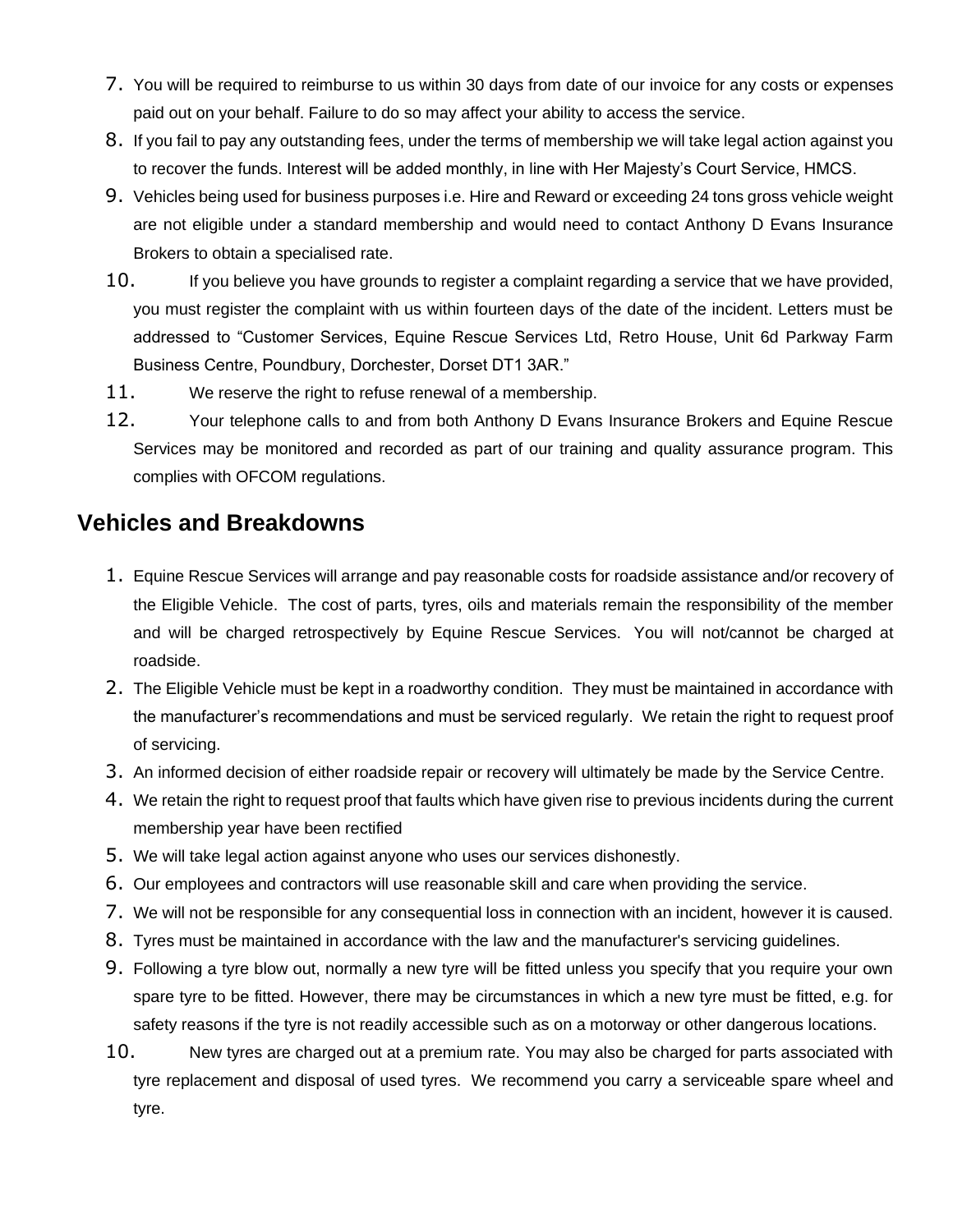- 7. You will be required to reimburse to us within 30 days from date of our invoice for any costs or expenses paid out on your behalf. Failure to do so may affect your ability to access the service.
- 8. If you fail to pay any outstanding fees, under the terms of membership we will take legal action against you to recover the funds. Interest will be added monthly, in line with Her Majesty's Court Service, HMCS.
- 9. Vehicles being used for business purposes i.e. Hire and Reward or exceeding 24 tons gross vehicle weight are not eligible under a standard membership and would need to contact Anthony D Evans Insurance Brokers to obtain a specialised rate.
- 10. If you believe you have grounds to register a complaint regarding a service that we have provided, you must register the complaint with us within fourteen days of the date of the incident. Letters must be addressed to "Customer Services, Equine Rescue Services Ltd, Retro House, Unit 6d Parkway Farm Business Centre, Poundbury, Dorchester, Dorset DT1 3AR."
- 11. We reserve the right to refuse renewal of a membership.
- 12. Your telephone calls to and from both Anthony D Evans Insurance Brokers and Equine Rescue Services may be monitored and recorded as part of our training and quality assurance program. This complies with OFCOM regulations.

#### **Vehicles and Breakdowns**

- 1. Equine Rescue Services will arrange and pay reasonable costs for roadside assistance and/or recovery of the Eligible Vehicle. The cost of parts, tyres, oils and materials remain the responsibility of the member and will be charged retrospectively by Equine Rescue Services. You will not/cannot be charged at roadside.
- 2. The Eligible Vehicle must be kept in a roadworthy condition. They must be maintained in accordance with the manufacturer's recommendations and must be serviced regularly. We retain the right to request proof of servicing.
- 3. An informed decision of either roadside repair or recovery will ultimately be made by the Service Centre.
- 4. We retain the right to request proof that faults which have given rise to previous incidents during the current membership year have been rectified
- 5. We will take legal action against anyone who uses our services dishonestly.
- 6. Our employees and contractors will use reasonable skill and care when providing the service.
- 7. We will not be responsible for any consequential loss in connection with an incident, however it is caused.
- 8. Tyres must be maintained in accordance with the law and the manufacturer's servicing guidelines.
- 9. Following a tyre blow out, normally a new tyre will be fitted unless you specify that you require your own spare tyre to be fitted. However, there may be circumstances in which a new tyre must be fitted, e.g. for safety reasons if the tyre is not readily accessible such as on a motorway or other dangerous locations.
- 10. New tyres are charged out at a premium rate. You may also be charged for parts associated with tyre replacement and disposal of used tyres. We recommend you carry a serviceable spare wheel and tyre.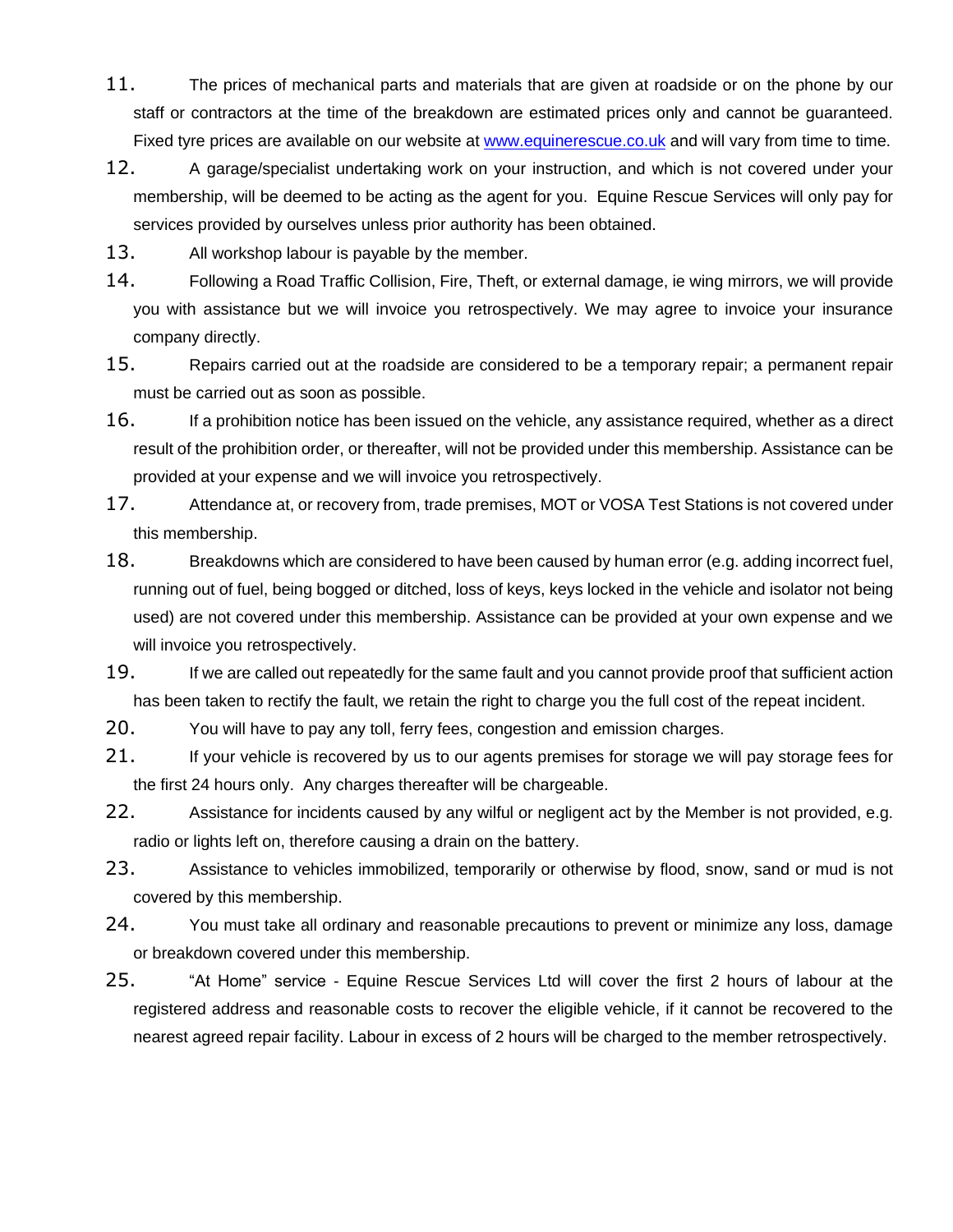- 11. The prices of mechanical parts and materials that are given at roadside or on the phone by our staff or contractors at the time of the breakdown are estimated prices only and cannot be guaranteed. Fixed tyre prices are available on our website at [www.equinerescue.co.uk](http://www.equinerescue.co.uk/) and will vary from time to time.
- 12. A garage/specialist undertaking work on your instruction, and which is not covered under your membership, will be deemed to be acting as the agent for you. Equine Rescue Services will only pay for services provided by ourselves unless prior authority has been obtained.
- 13. All workshop labour is payable by the member.
- 14. Following a Road Traffic Collision, Fire, Theft, or external damage, ie wing mirrors, we will provide you with assistance but we will invoice you retrospectively. We may agree to invoice your insurance company directly.
- 15. Repairs carried out at the roadside are considered to be a temporary repair; a permanent repair must be carried out as soon as possible.
- 16. If a prohibition notice has been issued on the vehicle, any assistance required, whether as a direct result of the prohibition order, or thereafter, will not be provided under this membership. Assistance can be provided at your expense and we will invoice you retrospectively.
- 17. Attendance at, or recovery from, trade premises, MOT or VOSA Test Stations is not covered under this membership.
- 18. Breakdowns which are considered to have been caused by human error (e.g. adding incorrect fuel, running out of fuel, being bogged or ditched, loss of keys, keys locked in the vehicle and isolator not being used) are not covered under this membership. Assistance can be provided at your own expense and we will invoice you retrospectively.
- 19. If we are called out repeatedly for the same fault and you cannot provide proof that sufficient action has been taken to rectify the fault, we retain the right to charge you the full cost of the repeat incident.
- 20. You will have to pay any toll, ferry fees, congestion and emission charges.
- 21. If your vehicle is recovered by us to our agents premises for storage we will pay storage fees for the first 24 hours only. Any charges thereafter will be chargeable.
- 22. Assistance for incidents caused by any wilful or negligent act by the Member is not provided, e.g. radio or lights left on, therefore causing a drain on the battery.
- 23. Assistance to vehicles immobilized, temporarily or otherwise by flood, snow, sand or mud is not covered by this membership.
- 24. You must take all ordinary and reasonable precautions to prevent or minimize any loss, damage or breakdown covered under this membership.
- 25. "At Home" service Equine Rescue Services Ltd will cover the first 2 hours of labour at the registered address and reasonable costs to recover the eligible vehicle, if it cannot be recovered to the nearest agreed repair facility. Labour in excess of 2 hours will be charged to the member retrospectively.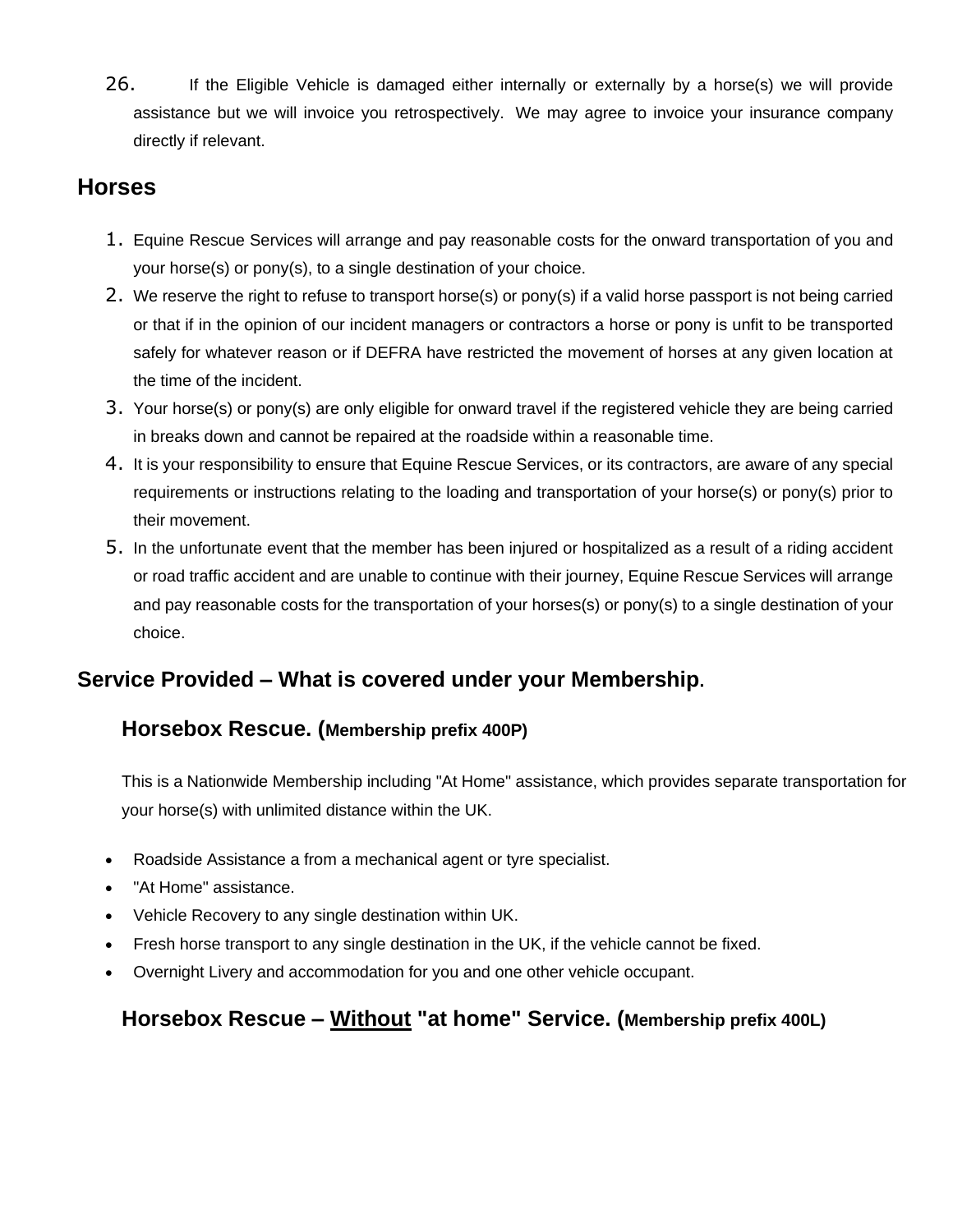26. If the Eligible Vehicle is damaged either internally or externally by a horse(s) we will provide assistance but we will invoice you retrospectively. We may agree to invoice your insurance company directly if relevant.

### **Horses**

- 1. Equine Rescue Services will arrange and pay reasonable costs for the onward transportation of you and your horse(s) or pony(s), to a single destination of your choice.
- 2. We reserve the right to refuse to transport horse(s) or pony(s) if a valid horse passport is not being carried or that if in the opinion of our incident managers or contractors a horse or pony is unfit to be transported safely for whatever reason or if DEFRA have restricted the movement of horses at any given location at the time of the incident.
- 3. Your horse(s) or pony(s) are only eligible for onward travel if the registered vehicle they are being carried in breaks down and cannot be repaired at the roadside within a reasonable time.
- 4. It is your responsibility to ensure that Equine Rescue Services, or its contractors, are aware of any special requirements or instructions relating to the loading and transportation of your horse(s) or pony(s) prior to their movement.
- 5. In the unfortunate event that the member has been injured or hospitalized as a result of a riding accident or road traffic accident and are unable to continue with their journey, Equine Rescue Services will arrange and pay reasonable costs for the transportation of your horses(s) or pony(s) to a single destination of your choice.

## **Service Provided – What is covered under your Membership.**

#### **Horsebox Rescue. (Membership prefix 400P)**

This is a Nationwide Membership including "At Home" assistance, which provides separate transportation for your horse(s) with unlimited distance within the UK.

- Roadside Assistance a from a mechanical agent or tyre specialist.
- "At Home" assistance.
- Vehicle Recovery to any single destination within UK.
- Fresh horse transport to any single destination in the UK, if the vehicle cannot be fixed.
- Overnight Livery and accommodation for you and one other vehicle occupant.

#### **Horsebox Rescue – Without "at home" Service. (Membership prefix 400L)**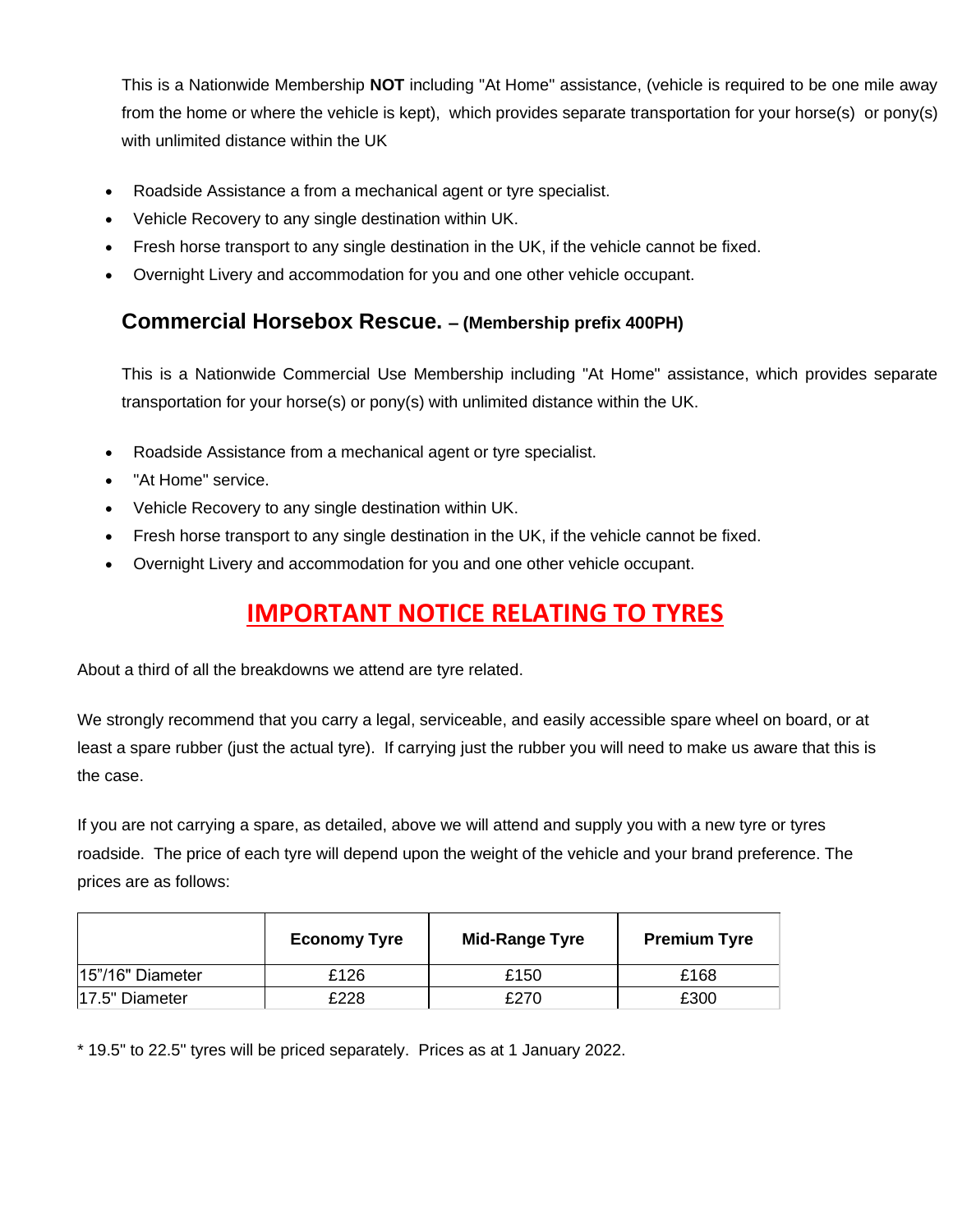This is a Nationwide Membership **NOT** including "At Home" assistance, (vehicle is required to be one mile away from the home or where the vehicle is kept), which provides separate transportation for your horse(s) or pony(s) with unlimited distance within the UK

- Roadside Assistance a from a mechanical agent or tyre specialist.
- Vehicle Recovery to any single destination within UK.
- Fresh horse transport to any single destination in the UK, if the vehicle cannot be fixed.
- Overnight Livery and accommodation for you and one other vehicle occupant.

#### **Commercial Horsebox Rescue. – (Membership prefix 400PH)**

This is a Nationwide Commercial Use Membership including "At Home" assistance, which provides separate transportation for your horse(s) or pony(s) with unlimited distance within the UK.

- Roadside Assistance from a mechanical agent or tyre specialist.
- "At Home" service.
- Vehicle Recovery to any single destination within UK.
- Fresh horse transport to any single destination in the UK, if the vehicle cannot be fixed.
- Overnight Livery and accommodation for you and one other vehicle occupant.

# **IMPORTANT NOTICE RELATING TO TYRES**

About a third of all the breakdowns we attend are tyre related.

We strongly recommend that you carry a legal, serviceable, and easily accessible spare wheel on board, or at least a spare rubber (just the actual tyre). If carrying just the rubber you will need to make us aware that this is the case.

If you are not carrying a spare, as detailed, above we will attend and supply you with a new tyre or tyres roadside. The price of each tyre will depend upon the weight of the vehicle and your brand preference. The prices are as follows:

|                  | <b>Economy Tyre</b> | <b>Mid-Range Tyre</b> | <b>Premium Tyre</b> |
|------------------|---------------------|-----------------------|---------------------|
| 15"/16" Diameter | £126                | £150                  | £168                |
| 17.5" Diameter   | £228                | £270                  | £300                |

\* 19.5" to 22.5" tyres will be priced separately. Prices as at 1 January 2022.